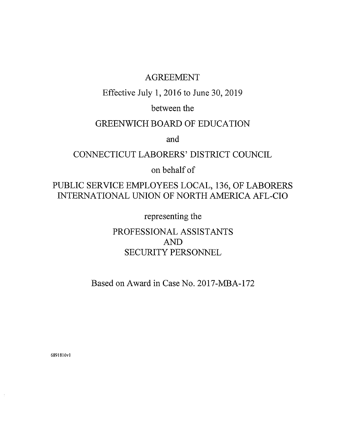# AGREEMENT

Effective July 1, 2016 to June 30,2019

between the

# GREENWICH BOARD OF EDUCATION

and

# CONNECTICUT LABORERS' DISTRICT COUNCIL

on behalf of

PUBLIC SERVICE EMPLOYEES LOCAL, 136, OF LABORERS INTERNATIONAL UNION OF NORTH AMERICA AFL-CIO

representing the

PROFESSIONAL ASSISTANTS AND SECURITY PERSONNEL

Based on Award in Case No. 2017-MBA-172

6891816vl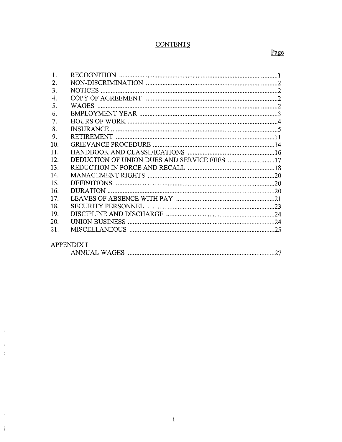## **CONTENTS**

| $\mathbf{1}$ . |                                            |  |
|----------------|--------------------------------------------|--|
| 2.             |                                            |  |
| 3.             |                                            |  |
| 4.             |                                            |  |
| 5.             |                                            |  |
| 6.             |                                            |  |
| 7.             |                                            |  |
| 8.             |                                            |  |
| 9.             |                                            |  |
| 10.            |                                            |  |
| 11.            |                                            |  |
| 12.            | DEDUCTION OF UNION DUES AND SERVICE FEES17 |  |
| 13.            |                                            |  |
| 14             |                                            |  |
| 15.            |                                            |  |
| 16.            |                                            |  |
| 17.            |                                            |  |
| 18.            |                                            |  |
| 19.            |                                            |  |
| 20.            |                                            |  |
| 21.            |                                            |  |
|                | APPENDIX I                                 |  |
|                |                                            |  |

 $\langle \cdot \rangle_{\rm{F}}$ 

 $\hat{1}$ 

|--|--|--|--|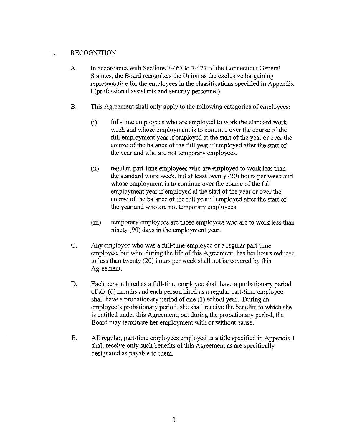## 1. RECOGNITION

- A. In accordance with Sections 7-467 to 7-477 of the Connecticut General Statutes, the Board recognizes the Union as the exclusive bargaining representative for the employees in the classifications specified in Appendix I (professional assistants and security personnel).
- B. This Agreement shall only apply to the following categories of employees:
	- (i) full-time employees who are employed to work the standard work week and whose employment is to continue over the course of the full employment year if employed at the start of the year or over the course of the balance of the full year if employed after the start of the year and who are not temporary employees.
	- (ii) regular, part -time employees who are employed to work less than the standard work week, but at least twenty (20) hours per week and whose employment is to continue over the course of the full employment year if employed at the start of the year or over the course of the balance of the full year if employed after the start of the year and who are not temporary employees.
	- (iii) temporary employees are those employees who are to work less than ninety (90) days in the employment year.
- C. Any employee who was a full-time employee or a regular part-time employee, but who, during the life of this Agreement, has her hours reduced to less than twenty (20) hours per week shall not be covered by this Agreement.
- D. Each person hired as a full-time employee shall have a probationary period of six (6) months and each person hired as a regular part-time employee shall have a probationary period of one (1) school year. During an employee's probationary period, she shall receive the benefits to which she is entitled under this Agreement, but during the probationary period, the Board may terminate her employment with or without cause.
- E. All regular, part-time employees employed in a title specified in Appendix I shall receive only such benefits of this Agreement as are specifically designated as payable to them.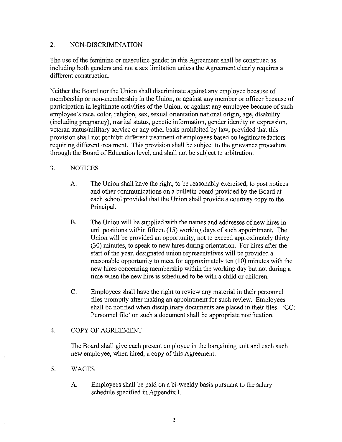## 2. NON-DISCRIMINATION

The use of the feminine or masculine gender in this Agreement shall be construed as including both genders and not a sex limitation unless the Agreement clearly requires a different construction.

Neither the Board nor the Union shall discriminate against any employee because of membership or non-membership in the Union, or against any member or officer because of participation in legitimate activities of the Union, or against any employee because of such employee's race, color, religion, sex, sexual orientation national origin, age, disability (including pregnancy), marital status, genetic information, gender identity or expression, veteran status/military service or any other basis prohibited by law, provided that this provision shall not prohibit different treatment of employees based on legitimate factors requiring different treatment. This provision shall be subject to the grievance procedure through the Board of Education level, and shall not be subject to arbitration.

## 3. NOTICES

- A. The Union shall have the right, to be reasonably exercised, to post notices and other communications on a bulletin board provided by the Board at each school provided that the Union shall provide a courtesy copy to the Principal.
- B. The Union will be supplied with the names and addresses of new hires in unit positions within fifteen (15) working days of such appointment. The Union will be provided an opportunity, not to exceed approximately thirty (30) minutes, to speak to new hires during orientation. For hires after the start of the year, designated union representatives will be provided a reasonable opportunity to meet for approximately ten (10) minutes with the new hires concerning membership within the working day but not during a time when the new hire is scheduled to be with a child or children.
- C. Employees shall have the right to review any material in their personnel files promptly after making an appointment for such review. Employees shall be notified when disciplinary documents are placed in their files. 'CC: Personnel file' on such a document shall be appropriate notification.

## 4. COPY OF AGREEMENT

The Board shall give each present employee in the bargaining unit and each such new employee, when hired, a copy of this Agreement.

## 5. WAGES

A. Employees shall be paid on a bi-weekly basis pursuant to the salary schedule specified in Appendix I.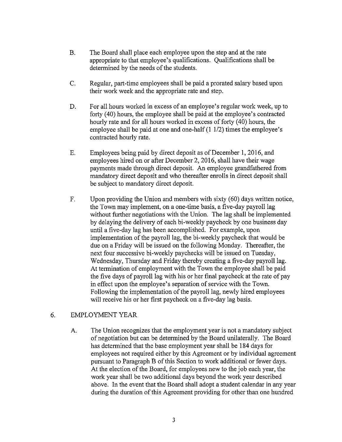- B. The Board shall place each employee upon the step and at the rate appropriate to that employee's qualifications. Qualifications shall be determined by the needs of the students.
- C. Regular, part-time employees shall be paid a prorated salary based upon their work week and the appropriate rate and step.
- D. For all hours worked in excess of an employee's regular work week, up to forty (40) hours, the employee shall be paid at the employee's contracted hourly rate and for all hours worked in excess of forty (40) hours, the employee shall be paid at one and one-half (1 1/2) times the employee's contracted hourly rate.
- E. Employees being paid by direct deposit as of December 1, 2016, and employees hired on or after December 2, 2016, shall have their wage payments made through direct deposit. An employee grandfathered from mandatory direct deposit and who thereafter enrolls in direct deposit shall be subject to mandatory direct deposit.
- F. Upon providing the Union and members with sixty (60) days written notice, the Town may implement, on a one-time basis, a five-day payroll lag without further negotiations with the Union. The lag shall be implemented by delaying the delivery of each bi-weekly paycheck by one business day until a five-day lag has been accomplished. For example, upon implementation of the payroll lag, the bi-weekly paycheck that would be due on a Friday will be issued on the following Monday. Thereafter, the next four successive bi-weekly paychecks will be issued on Tuesday, Wednesday, Thursday and Friday thereby creating a five-day payroll lag. At termination of employment with the Town the employee shall be paid the five days of payroll lag with his or her final paycheck at the rate of pay in effect upon the employee's separation of service with the Town. Following the implementation of the payroll lag, newly hired employees will receive his or her first paycheck on a five-day lag basis.

## 6. EMPLOYMENT YEAR

A. The Union recognizes that the employment year is not a mandatory subject of negotiation but can be determined by the Board unilaterally. The Board has determined that the base employment year shall be 184 days for employees not required either by this Agreement or by individual agreement pursuant to Paragraph B of this Section to work additional or fewer days. At the election of the Board, for employees new to the job each year, the work year shall be two additional days beyond the work year described above. In the event that the Board shall adopt a student calendar in any year during the duration of this Agreement providing for other than one hundred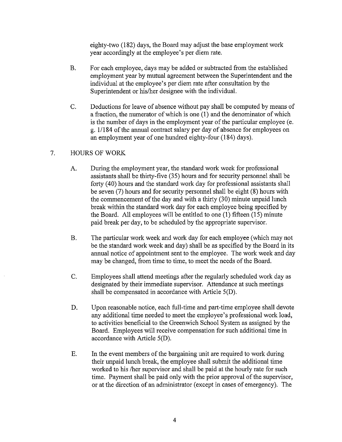eighty-two (182) days, the Board may adjust the base employment work year accordingly at the employee's per diem rate.

- B. For each employee, days may be added or subtracted from the established employment year by mutual agreement between the Superintendent and the individual at the employee's per diem rate after consultation by the Superintendent or his/her designee with the individual.
- C. Deductions for leave of absence without pay shall be computed by means of a fraction, the numerator of which is one (1) and the denominator of which is the number of days in the employment year of the particular employee (e. g. 1/184 of the annual contract salary per day of absence for employees on an employment year of one hundred eighty-four (184) days).

## 7. HOURS OF WORK

- A. During the employment year, the standard work week for professional assistants shall be thirty-five (35) hours and for security personnel shall be forty (40) hours and the standard work day for professional assistants shall be seven (7) hours and for security personnel shall be eight (8) hours with the commencement of the day and with a thirty (30) minute unpaid lunch break within the standard work day for each employee being specified by the Board. All employees will be entitled to one (1) fifteen (15) minute paid break per day, to be scheduled by the appropriate supervisor.
- B. The particular work week and work day for each employee (which may not be the standard work week and day) shall be as specified by the Board in its annual notice of appointment sent to the employee. The work week and day may be changed, from time to time, to meet the needs of the Board.
- C. Employees shall attend meetings after the regularly scheduled work day as designated by their immediate supervisor. Attendance at such meetings shall be compensated in accordance with Article 5(D).
- D. Upon reasonable notice, each full-time and part-time employee shall devote any additional time needed to meet the employee's professional work load, to activities beneficial to the Greenwich School System as assigned by the Board. Employees will receive compensation for such additional time in accordance with Article 5(D).
- E. In the event members of the bargaining unit are required to work during their unpaid lunch break, the employee shall submit the additional time worked to his /her supervisor and shall be paid at the hourly rate for such time. Payment shall be paid only with the prior approval of the supervisor, or at the direction of an administrator (except in cases of emergency). The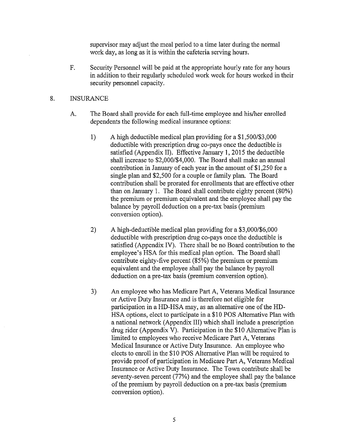supervisor may adjust the meal period to a time later during the normal work day, as long as it is within the cafeteria serving hours.

F. Security Personnel will be paid at the appropriate hourly rate for any homs in addition to their regularly scheduled work week for hours worked in their security personnel capacity.

#### 8. INSURANCE

- A. The Board shall provide for each full-time employee and his/her emolled dependents the following medical insurance options:
	- 1) A high deductible medical plan providing for a \$1,500/\$3,000 deductible with prescription drug co-pays once the deductible is satisfied (Appendix II). Effective January I, 2015 the deductible shall increase to \$2,000/\$4,000. The Board shall make an annual contribution in January of each year in the amount of \$1,250 for a single plan and \$2,500 for a couple or family plan. The Board contribution shall be prorated for emollments that are effective other than on January 1. The Board shall contribute eighty percent (80%) the premium or premium equivalent and the employee shall pay the balance by payroll deduction on a pre-tax basis (premium conversion option).
	- 2) A high-deductible medical plan providing for a \$3,000/\$6,000 deductible with prescription drug co-pays once the deductible is satisfied (Appendix IV). There shall be no Board contribution to the employee's HSA for this medical plan option. The Board shall contribute eighty-five percent (85%) the premium or premium equivalent and the employee shall pay the balance by payroll deduction on a pre-tax basis (premium conversion option).
	- 3) An employee who has Medicare Part A, Veterans Medical Insurance or Active Duty Insurance and is therefore not eligible for participation in a HD-HSA may, as an alternative one of the HD-HSA options, elect to participate in a \$10 POS Alternative Plan with a national network (Appendix III) which shall include a prescription drug rider (Appendix V). Participation in the \$10 Alternative Plan is limited to employees who receive Medicare Part A, Veterans Medical Insurance or Active Duty Insurance. An employee who elects to enroll in the \$10 POS Alternative Plan will be required to provide proof of participation in Medicare Part A, Veterans Medical Insurance or Active Duty Insurance. The Town contribute shall be seventy-seven percent (77%) and the employee shall pay the balance of the premium by payroll deduction on a pre-tax basis (premium conversion option).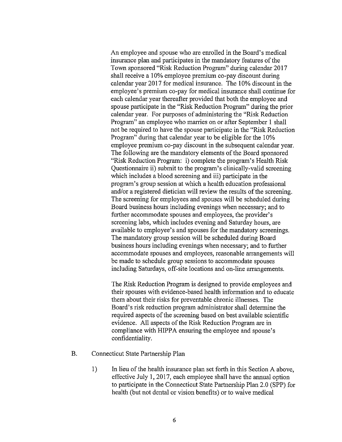An employee and spouse who are enrolled in the Board's medical insurance plan and participates in the mandatory features of the Town sponsored "Risk Reduction Program" during calendar 2017 shall receive a 10% employee premium co-pay discount during calendar year 2017 for medical insurance. The 10% discount in the employee's premium co-pay for medical insurance shall continue for each calendar year thereafter provided that both the employee and spouse participate in the "Risk Reduction Program" during the prior calendar year. For purposes of administering the "Risk Reduction Program" an employee who marries on or after September l shall not be required to have the spouse participate in the "Risk Reduction Program" during that calendar year to be eligible for the 10% employee premium co-pay discount in the subsequent calendar year. The following are the mandatory elements of the Board sponsored "Risk Reduction Program: i) complete the program's Health Risk Questionnaire ii) submit to the program's clinically-valid screening which includes a blood screening and iii) participate in the program's group session at which a health education professional and/or a registered dietician will review the results of the screening. The screening for employees and spouses will be scheduled during Board business hours including evenings when necessary; and to further accommodate spouses and employees, the provider's screening labs, which includes evening and Saturday hours, are available to employee's and spouses for the mandatory screenings. The mandatory group session will be scheduled during Board business hours including evenings when necessary; and to further accommodate spouses and employees, reasonable arrangements will be made to schedule group sessions to accommodate spouses including Saturdays, off-site locations and on-line arrangements.

The Risk Reduction Program is designed to provide employees and their spouses with evidence-based health information and to educate them about their risks for preventable chronic illnesses. The Board's risk reduction program administrator shall determine the required aspects of the screening based on best available scientific evidence. All aspects of the Risk Reduction Program are in compliance with HIPPA ensuring the employee and spouse's confidentiality.

- B. Connecticut State Partnership Plan
	- 1) In lieu of the health insurance plan set forth in this Section A above, effective July l, 2017, each employee shall have the annual option to participate in the Connecticut State Partnership Plan 2.0 (SPP) for health (but not dental or vision benefits) or to waive medical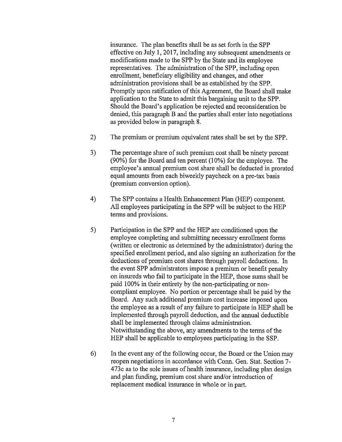insurance. The plan benefits shall be as set forth in the SPP effective on July I, 2017, including any subsequent amendments or modifications made to the SPP by the State and its employee representatives. The administration of the SPP, including open emollment, beneficiary eligibility and changes, and other administration provisions shall be as established by the SPP. Promptly upon ratification of this Agreement, the Board shall make application to the State to admit this bargaining unit to the SPP. Should the Board's application be rejected and reconsideration be denied, this paragraph B and the parties shall enter into negotiations as provided below in paragraph 8.

- 2) The premium or premium equivalent rates shall be set by the SPP.
- 3) The percentage share of such premium cost shall be ninety percent (90%) for the Board and ten percent (10%) for the employee. The employee's armual premium cost share shall be deducted in prorated equal amounts from each biweekly paycheck on a pre-tax basis (premium conversion option).
- 4) The SPP contains a Health Enhancement Plan (HEP) component. All employees participating in the SPP will be subject to the HEP terms and provisions.
- 5) Participation in the SPP and the HEP are conditioned upon the employee completing and submitting necessary emollment forms (written or electronic as determined by the administrator) during the specified emollment period, and also signing an authorization for the deductions of premium cost shares through payroll deductions. In the event SPP administrators impose a premium or benefit penalty on insureds who fail to participate in the HEP, those sums shall be paid 100% in their entirety by the non-participating or noncompliant employee. No portion or percentage shall be paid by the Board. Any such additional premium cost increase imposed upon the employee as a result of any failure to participate in HEP shall be implemented through payroll deduction, and the annual deductible shall be implemented through claims administration. Notwithstanding the above, any amendments to the terms of the HEP shall be applicable to employees participating in the SSP.
- 6) In the event any of the following occur, the Board or the Union may reopen negotiations in accordance with Conn. Gen. Stat. Section 7- 4 73c as to the sole issues of health insurance, including plan design and plan funding, premium cost share and/or introduction of replacement medical insurance in whole or in part.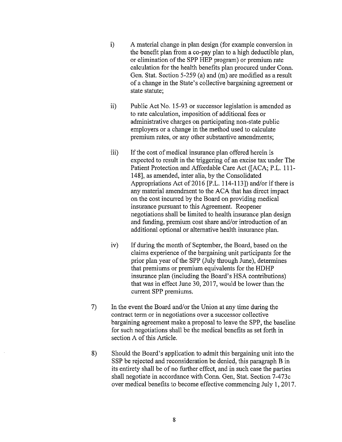- i) A material change in plan design (for example conversion in the benefit plan from a co-pay plan to a high deductible plan, or elimination of the SPP HEP program) or premium rate calculation for the health benefits plan procured under Conn. Gen. Stat. Section 5-259 (a) and (m) are modified as a result of a change in the State's collective bargaining agreement or state statute;
- ii) Public Act No. 15-93 or successor legislation is amended as to rate calculation, imposition of additional fees or administrative charges on participating non-state public employers or a change in the method used to calculate premium rates, or any other substantive amendments;
- iii) If the cost of medical insurance plan offered herein is expected to result in the triggering of an excise tax under The Patient Protection and Affordable Care Act ([ACA; P.L. 111-148], as amended, inter alia, by the Consolidated Appropriations Act of 2016 [P.L. 114-113]) and/or if there is any material amendment to the ACA that has direct impact on the cost incurred by the Board on providing medical insurance pursuant to this Agreement. Reopener negotiations shall be limited to health insurance plan design and funding, premium cost share and/or introduction of an additional optional or alternative health insurance plan.
- iv) If during the month of September, the Board, based on the claims experience ofthe bargaining unit participants for the prior plan year of the SPP (July through June), determines that premiums or premium equivalents for the HDHP insurance plan (including the Board's HSA contributions) that was in effect June 30, 2017, would be lower than the current SPP premiums.
- 7) In the event the Board and/or the Union at any time during the contract term or in negotiations over a successor collective bargaining agreement make a proposal to leave the SPP, the baseline for such negotiations shall be the medical benefits as set forth in section A of this Atticle.
- 8) Should the Board's application to admit this bargaining unit into the SSP be rejected and reconsideration be denied, this paragraph B in its entirety shall be of no further effect, and in such case the parties shall negotiate in accordance with Conn. Gen, Stat. Section 7-473c over medical benefits to become effective commencing July 1, 2017.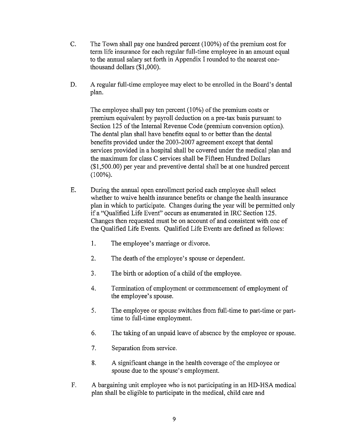- C. The Town shall pay one hundred percent (100%) of the premium cost for term life insurance for each regular full-time employee in an amount equal to the annual salary set forth in Appendix I rounded to the nearest onethousand dollars (\$1,000).
- D. A regular full-time employee may elect to be enrolled in the Board's dental plan.

The employee shall pay ten percent  $(10\%)$  of the premium costs or premium equivalent by payroll deduction on a pre-tax basis pursuant to Section 125 of the Internal Revenue Code (premium conversion option). The dental plan shall have benefits equal to or better than the dental benefits provided under the 2003-2007 agreement except that dental services provided in a hospital shall be covered under the medical plan and the maximum for class C services shall be Fifteen Hundred Dollars (\$1,500.00) per year and preventive dental shall be at one hundred percent (100%).

- E. During the annual open enrollment period each employee shall select whether to waive health insurance benefits or change the health insurance plan in which to participate. Changes during the year will be permitted only if a "Qualified Life Event" occurs as enumerated in IRC Section 125. Changes then requested must be on account of and consistent with one of the Qualified Life Events. Qualified Life Events are defined as follows:
	- I. The employee's marriage or divorce.
	- 2. The death of the employee's spouse or dependent.
	- 3. The birth or adoption of a child of the employee.
	- 4. Termination of employment or commencement of employment of the employee's spouse.
	- 5. The employee or spouse switches from full-time to part-time or parttime to full-time employment.
	- 6. The taking of an unpaid leave of absence by the employee or spouse.
	- 7. Separation from service.
	- 8. A significant change in the health coverage of the employee or spouse due to the spouse's employment.
- F. A bargaining unit employee who is not participating in an HD-HSA medical plan shall be eligible to participate in the medical, child care and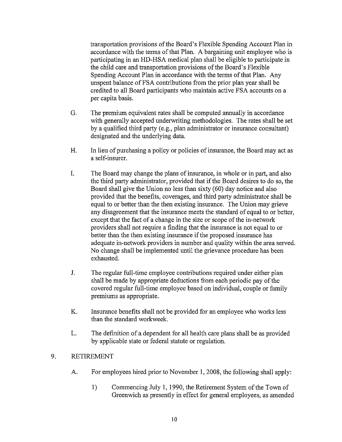transportation provisions of the Board's Flexible Spending Account Plan in accordance with the terms of that Plan. A bargaining unit employee who is participating in an HD-HSA medical plan shall be eligible to participate in the child care and transportation provisions of the Board's Flexible Spending Account Plan in accordance with the terms of that Plan. Any unspent balance of FSA contributions from the prior plan year shall be credited to all Board participants who maintain active FSA accounts on a per capita basis.

- G. The premium equivalent rates shall be computed annually in accordance with generally accepted underwriting methodologies. The rates shall be set by a qualified third party (e.g., plan administrator or insurance consultant) designated and the underlying data.
- H. In lieu of purchasing a policy or policies of insurance, the Board may act as a self-insurer.
- I. The Board may change the plans of insurance, in whole or in part, and also the third party administrator, provided that if the Board desires to do so, the Board shall give the Union no less than sixty (60) day notice and also provided that the benefits, coverages, and third party administrator shall be equal to or better than the then existing insurance. The Union may grieve any disagreement that the insurance meets the standard of equal to or better, except that the fact of a change in the size or scope of the in-network providers shall not require a finding that the insurance is not equal to or better than the then existing insurance if the proposed insurance has adequate in-network providers in number and quality within the area served. No change shall be implemented until the grievance procedure has been exhausted.
- J. The regular full-time employee contributions required under either plan shall be made by appropriate deductions from each periodic pay of the covered regular full-time employee based on individual, couple or family premiums as appropriate.
- K. Insurance benefits shall not be provided for an employee who works less than the standard workweek.
- L. The definition of a dependent for all health care plans shall be as provided by applicable state or federal statute or regulation.

#### 9. RETIREMENT

- A. For employees hired prior to November 1, 2008, the following shall apply:
	- 1) Commencing July 1, 1990, the Retirement System of the Town of Greenwich as presently in effect for general employees, as amended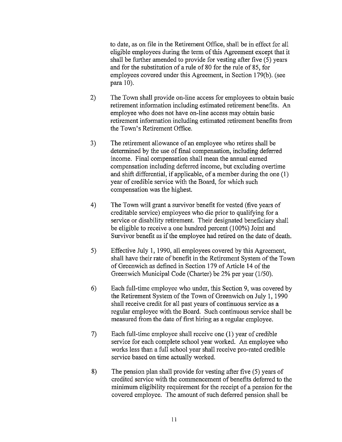to date, as on file in the Retirement Office, shall be in effect for all eligible employees during the term of this Agreement except that it shall be further amended to provide for vesting after five (5) years and for the substitution of a rule of 80 for the rule of 85, for employees covered under this Agreement, in Section 179(b). (see para 10).

- 2) The Town shall provide on-line access for employees to obtain basic retirement information including estimated retirement benefits. An employee who does not have on-line access may obtain basic retirement information including estimated retirement benefits from the Town's Retirement Office.
- 3) The retirement allowance of an employee who retires shall be determined by the use of final compensation, including deferred income. Final compensation shall mean the annual earned compensation including deferred income, but excluding overtime and shift differential, if applicable, of a member during the one ( 1) year of credible service with the Board, for which such compensation was the highest.
- 4) The Town will grant a survivor benefit for vested (five years of creditable service) employees who die prior to qualifying for a service or disability retirement. Their designated beneficiary shall be eligible to receive a one hundred percent (100%) Joint and Survivor benefit as if the employee had retired on the date of death.
- 5) Effective July 1, 1990, all employees covered by this Agreement, shall have their rate of benefit in the Retirement System of the Town of Greenwich as defined in Section 179 of Article 14 of the Greenwich Municipal Code (Charter) be 2% per year (1/50).
- 6) Each full-time employee who under, this Section 9, was covered by the Retirement System of the Town of Greenwich on July 1, 1990 shall receive credit for all past years of continuous service as a regular employee with the Board. Such continuous service shall be measured from the date of first hiring as a regular employee.
- 7) Each full-time employee shall receive one (1) year of credible service for each complete school year worked. An employee who works less than a full school year shall receive pro-rated credible service based on time actually worked.
- 8) The pension plan shall provide for vesting after five (5) years of credited service with the commencement of benefits deferred to the minimum eligibility requirement for the receipt of a pension for the covered employee. The amount of such deferred pension shall be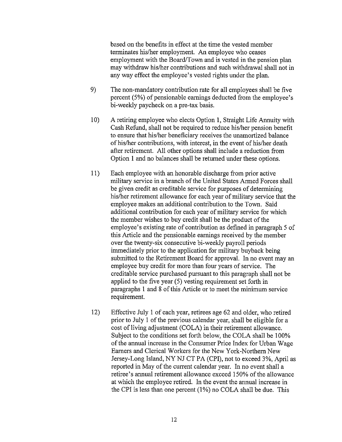based on the benefits in effect at the time the vested member terminates his/her employment. An employee who ceases employment with the Board/Town and is vested in the pension plan may withdraw his/her contributions and such withdrawal shall not in any way effect the employee's vested rights under the plan.

- 9) The non-mandatory contribution rate for all employees shall be five percent (5%) of pensionable earnings deducted from the employee's bi-weekly paycheck on a pre-tax basis.
- 10) A retiring employee who elects Option 1, Straight Life Annuity with Cash Refund, shall not be required to reduce his/her pension benefit to ensure that his/her beneficiary receives the unamortized balance of his/her contributions, with interest, in the event of his/her death after retirement. All other options shall include a reduction from Option 1 and no balances shall be returned under these options.
- 11) Each employee with an honorable discharge from prior active military service in a branch of the United States Armed Forces shall be given credit as creditable service for purposes of determining his/her retirement allowance for each year of military service that the employee makes an additional contribution to the Town. Said additional contribution for each year of military service for which the member wishes to buy credit shall be the product of the employee's existing rate of contribution as defined in paragraph 5 of this Article and the pensionable earnings received by the member over the twenty-six consecutive bi-weekly payroll periods immediately prior to the application for military buyback being submitted to the Retirement Board for approval. In no event may an employee buy credit for more than four years of service. The creditable service purchased pursuant to this paragraph shall not be applied to the five year (5) vesting requirement set forth in paragraphs 1 and 8 of this Article or to meet the minimum service requirement.
- 12) Effective July 1 of each year, retirees age 62 and older, who retired prior to July 1 of the previous calendar year, shall be eligible for a cost of living adjustment (COLA) in their retirement allowance. Subject to the conditions set forth below, the COLA shall be 100% of the annual increase in the Consumer Price Index for Urban Wage Earners and Clerical Workers for the New York-Northern New Jersey-Long Island, NY NJ CT PA (CPI), not to exceed 3%, April as reported in May of the current calendar year. In no event shall a retiree's annual retirement allowance exceed 150% of the allowance at which the employee retired. In the event the armual increase in the CPI is less than one percent (1%) no COLA shall be due. This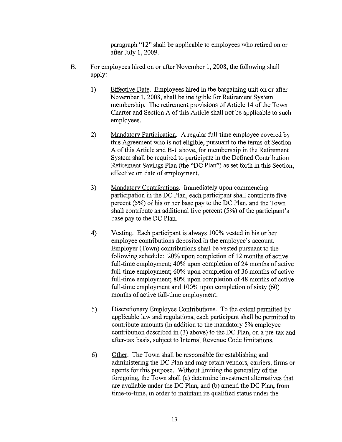paragraph "12" shall be applicable to employees who retired on or after July 1, 2009.

- B. For employees hired on or after November 1, 2008, the following shall apply:
	- 1) Effective Date. Employees hired in the bargaining unit on or after November 1, 2008, shall be ineligible for Retirement System membership. The retirement provisions of Article 14 of the Town Charter and Section A of this Article shall not be applicable to such employees.
	- 2) Mandatory Participation. A regular full-time employee covered by this Agreement who is not eligible, pursuant to the terms of Section A of this Article and B-1 above, for membership in the Retirement System shall be required to participate in the Defined Contribution Retirement Savings Plan (the "DC Plan") as set forth in this Section, effective on date of employment.
	- 3) Mandatory Contributions. Immediately upon commencing participation in the DC Plan, each participant shall contribute five percent (5%) of his or her base pay to the DC Plan, and the Town shall contribute an additional five percent (5%) of the participant's base pay to the DC Plan.
	- 4) Vesting. Each participant is always 100% vested in his or her employee contributions deposited in the employee's account. Employer (Town) contributions shall be vested pursuant to the following schedule: 20% upon completion of 12 months of active full-time employment; 40% upon completion of 24 months of active full-time employment; 60% upon completion of 36 months of active full-time employment; 80% upon completion of 48 months of active full-time employment and 100% upon completion of sixty (60) months of active full-time employment.
	- 5) Discretionary Employee Contributions. To the extent permitted by applicable law and regulations, each participant shall be permitted to contribute amounts (in addition to the mandatory 5% employee contribution described in (3) above) to the DC Plan, on a pre-tax and after-tax basis, subject to Internal Revenue Code limitations.
	- 6) Other. The Town shall be responsible for establishing and administering the DC Plan and may retain vendors, carriers, firms or agents for this purpose. Without limiting the generality of the foregoing, the Town shall (a) determine investment alternatives that are available under the DC Plan, and (b) amend the DC Plan, from time-to-time, in order to maintain its qualified status under the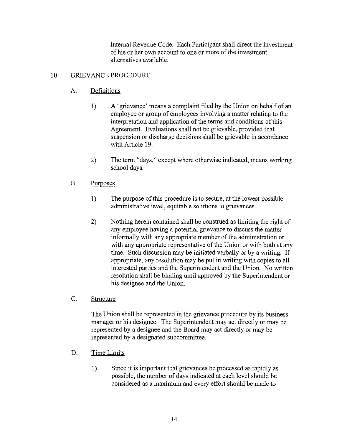Internal Revenue Code. Each Participant shall direct the investment of his or her own account to one or more of the investment alternatives available.

## 10. GRIEVANCE PROCEDURE

## A. Definitions

- 1) A 'grievance' means a complaint filed by the Union on behalf of an employee or group of employees involving a matter relating to the interpretation and application of the terms and conditions of this Agreement. Evaluations shall not be grievable, provided that suspension or discharge decisions shall be grievable in accordance with Article 19.
- 2) The term "days," except where otherwise indicated, means working school days.

## B. Purposes

- 1) The purpose of this procedure is to secure, at the lowest possible administrative level, equitable solutions to grievances.
- 2) Nothing herein contained shall be construed as limiting the right of any employee having a potential grievance to discuss the matter informally with any appropriate member of the administration or with any appropriate representative of the Union or with both at any time. Such discussion may be initiated verbally or by a writing. If appropriate, any resolution may be put in writing with copies to all interested parties and the Superintendent and the Union. No written resolution shall be binding until approved by the Superintendent or his designee and the Union.

## C. Structure

The Union shall be represented in the grievance procedure by its business manager or his designee. The Superintendent may act directly or may be represented by a designee and the Board may act directly or may be represented by a designated subcommittee.

- D. Time Limits
	- 1) Since it is important that grievances be processed as rapidly as possible, the number of days indicated at each level should be considered as a maximum and every effort should be made to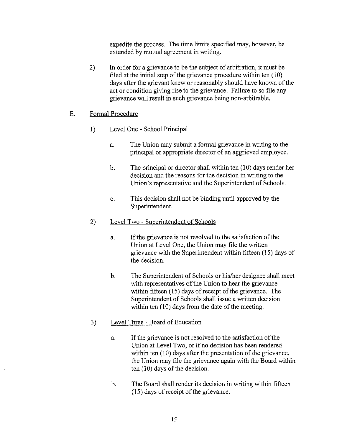expedite the process. The time limits specified may, however, be extended by mutual agreement in writing.

2) In order for a grievance to be the subject of arbitration, it must be filed at the initial step of the grievance procedure within ten (10) days after the grievant knew or reasonably should have known of the act or condition giving rise to the grievance. Failure to so file any grievance will result in such grievance being non-arbitrable.

## E. Formal Procedure

- 1) Level One School Principal
	- a. The Union may submit a formal grievance in writing to the principal or appropriate director of an aggrieved employee.
	- b. The principal or director shall within ten (10) days render her decision and the reasons for the decision in writing to the Union's representative and the Superintendent of Schools.
	- c. This decision shall not be binding until approved by the Superintendent.
- 2) Level Two Superintendent of Schools
	- a. If the grievance is not resolved to the satisfaction of the Union at Level One, the Union may file the written grievance with the Superintendent within fifteen (15) days of the decision.
	- b. The Superintendent of Schools or his/her designee shall meet with representatives of the Union to hear the grievance within fifteen (15) days of receipt of the grievance. The Superintendent of Schools shall issue a written decision within ten (10) days from the date of the meeting.

## 3) Level Three- Board of Education

- a. If the grievance is not resolved to the satisfaction of the Union at Level Two, or if no decision has been rendered within ten  $(10)$  days after the presentation of the grievance, the Union may file the grievance again with the Board within ten  $(10)$  days of the decision.
- b. The Board shall render its decision in writing within fifteen (15) days of receipt of the grievance.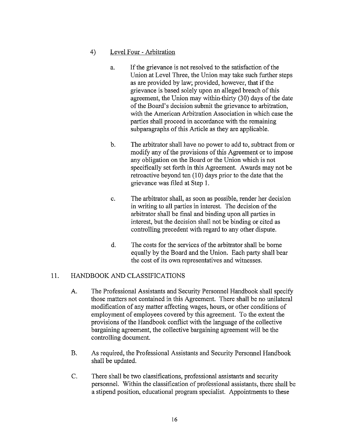## 4) Level Four- Arbitration

- a. If the grievance is not resolved to the satisfaction of the Union at Level Three, the Union may take such further steps as are provided by law; provided, however, that if the grievance is based solely upon an alleged breach of this agreement, the Union may within-thirty (30) days of the date of the Board's decision submit the grievance to arbitration, with the American Arbitration Association in which case the parties shall proceed in accordance with the remaining subparagraphs of this Article as they are applicable.
- b. The arbitrator shall have no power to add to, subtract from or modify any of the provisions of this Agreement or to impose any obligation on the Board or the Union which is not specifically set forth in this Agreement. Awards may not be retroactive beyond ten  $(10)$  days prior to the date that the grievance was filed at Step I.
- c. The arbitrator shall, as soon as possible, render her decision in writing to all parties in interest. The decision of the arbitrator shall be final and binding upon all parties in interest, but the decision shall not be binding or cited as controlling precedent with regard to any other dispute.
- d. The costs for the services of the arbitrator shall be borne equally by the Board and the Union. Each party shall bear the cost of its own representatives and witnesses.

## 11. HANDBOOK AND CLASSIFICATIONS

- A. The Professional Assistants and Secmity Personnel Handbook shall specify those matters not contained in this Agreement. There shall be no unilateral modification of any matter affecting wages, hours, or other conditions of employment of employees covered by this agreement. To the extent the provisions of the Handbook conflict with the language of the collective bargaining agreement, the collective bargaining agreement will be the controlling document.
- B. As required, the Professional Assistants and Security Personnel Handbook shall be updated.
- C. There shall be two classifications, professional assistants and security personnel. Within the classification of professional assistants, there shall be a stipend position, educational program specialist. Appointments to these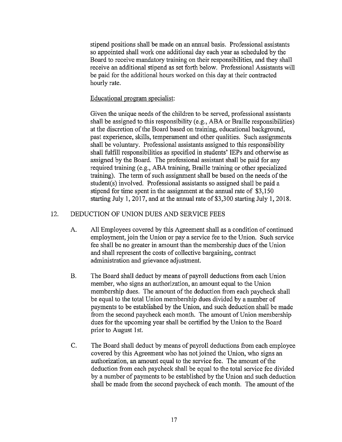stipend positions shall be made on an annual basis. Professional assistants so appointed shall work one additional day each year as scheduled by the Board to receive mandatory training on their responsibilities, and they shall receive an additional stipend as set forth below. Professional Assistants will be paid for the additional hours worked on this day at their contracted hourly rate.

#### Educational program specialist:

Given the unique needs of the children to be served, professional assistants shall be assigned to this responsibility (e.g., ABA or Braille responsibilities) at the discretion of the Board based on training, educational background, past experience, skills, temperament and other qualities. Such assignments shall be voluntary. Professional assistants assigned to this responsibility shall fulfill responsibilities as specified in students' IEPs and otherwise as assigned by the Board. The professional assistant shall be paid for any required training (e.g., ABA training, Braille training or other specialized training). The term of such assignment shall be based on the needs of the student(s) involved. Professional assistants so assigned shall be paid a stipend for time spent in the assignment at the annual rate of \$3,150 starting July 1, 2017, and at the annual rate of \$3,300 starting July 1, 2018.

#### 12. DEDUCTION OF UNION DUES AND SERVICE FEES

- A. All Employees covered by this Agreement shall as a condition of continued employment, join the Union or pay a service fee to the Union. Such service fee shall be no greater in amount than the membership dues of the Union and shall represent the costs of collective bargaining, contract administration and grievance adjustment.
- B. The Board shall deduct by means of payroll deductions from each Union member, who signs an authorization, an amount equal to the Union membership dues. The amount of the deduction from each paycheck shall be equal to the total Union membership dues divided by a number of payments to be established by the Union, and such deduction shall be made from the second paycheck each month. The amount of Union membership dues for the upcoming year shall be certified by the Union to the Board prior to August 1st.
- C. The Board shall deduct by means of payroll deductions from each employee covered by this Agreement who has not joined the Union, who signs an authorization, an amount equal to the service fee. The amount of the deduction from each paycheck shall be equal to the total service fee divided by a number of payments to be established by the Union and such deduction shall be made from the second paycheck of each month. The amount of the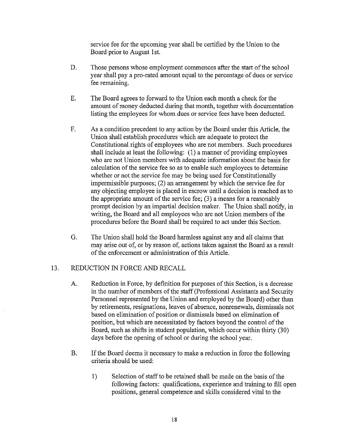service fee for the upcoming year shall be certified by the Union to the Board prior to August 1st.

- D. Those persons whose employment commences after the start of the school year shall pay a pro-rated amount equal to the percentage of dues or service fee remaining.
- E. The Board agrees to forward to the Union each month a check for the amount of money deducted during that month, together with documentation listing the employees for whom dues or service fees have been deducted.
- F. As a condition precedent to any action by the Board under this Article, the Union shall establish procedures which are adequate to protect the Constitutional rights of employees who are not members. Such procedures shall include at least the following: (1) a manner of providing employees who are not Union members with adequate information about the basis for calculation of the service fee so as to enable such employees to determine whether or not the service fee may be being used for Constitutionally impermissible purposes; (2) an arrangement by which the service fee for any objecting employee is placed in escrow until a decision is reached as to the appropriate amount of the service fee; (3) a means for a reasonably prompt decision by an impartial decision maker. The Union shall notify, in writing, the Board and all employees who are not Union members of the procedures before the Board shall be required to act under this Section.
- G. The Union shall hold the Board harmless against any and all claims that may arise out of, or by reason of, actions taken against the Board as a result of the enforcement or administration of this Article.

## 13. REDUCTION IN FORCE AND RECALL

- A. Reduction in Force, by definition for purposes of this Section, is a decrease in the number of members of the staff (Professional Assistants and Security Personnel represented by the Union and employed by the Board) other than by retirements, resignations, leaves of absence, nomenewals, dismissals not based on elimination of position or dismissals based on elimination of position, but which are necessitated by factors beyond the control of the Board, such as shifts in student population, which occur within thirty (30) days before the opening of school or during the school year.
- B. If the Board deems it necessary to make a reduction in force the following criteria should be used:
	- I) Selection of staff to be retained shall be made on the basis of the following factors: qualifications, experience and training to fill open positions, general competence and skills considered vital to the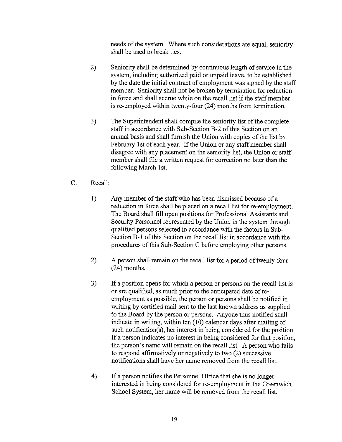needs of the system. Where such considerations are equal, seniority shall be used to break ties.

- 2) Seniority shall be determined by continuous length of service in the system, including authorized paid or unpaid leave, to be established by the date the initial contract of employment was signed by the staff member. Seniority shall not be broken by termination for reduction in force and shall accrue while on the recall list if the staff member is re-employed within twenty-four (24) months from termination.
- 3) The Superintendent shall compile the seniority list of the complete staff in accordance with Sub-Section B-2 of this Section on an annual basis and shall furnish the Union with copies of the list by February 1st of each year. If the Union or any staff member shall disagree with any placement on the seniority list, the Union or staff member shall file a written request for correction no later than the following March 1st.
- C. Recall:
	- 1) Any member of the staff who has been dismissed because of a reduction in force shall be placed on a recall list for re-employment. The Board shall fill open positions for Professional Assistants and Security Personnel represented by the Union in the system through qualified persons selected in accordance with the factors in Sub-Section B-1 of this Section on the recall list in accordance with the procedures of this Sub-Section C before employing other persons.
	- 2) A person shall remain on the recall list for a period of twenty-four (24) months.
	- 3) If a position opens for which a person or persons on the recall list is or are qualified, as much prior to the anticipated date of reemployment as possible, the person or persons shall be notified in writing by certified mail sent to the last known address as supplied to the Board by the person or persons. Anyone thus notified shall indicate in writing, within ten (10) calendar days after mailing of such notification(s), her interest in being considered for the position. If a person indicates no interest in being considered for that position, the person's name will remain on the recall list. A person who fails to respond affirmatively or negatively to two (2) successive notifications shall have her name removed from the recall list.
	- 4) If a person notifies the Personnel Office that she is no longer interested in being considered for re-employment in the Greenwich School System, her name will be removed from the recall list.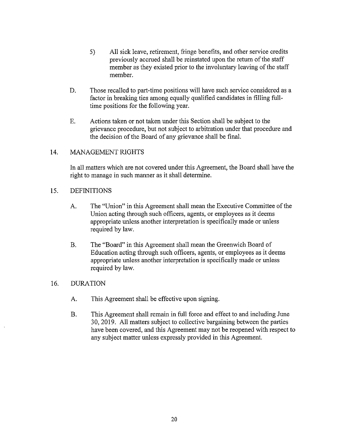- 5) All sick leave, retirement, fringe benefits, and other service credits previously accrued shall be reinstated upon the return of the staff member as they existed prior to the involuntary leaving of the staff member.
- D. Those recalled to part-time positions will have such service considered as a factor in breaking ties among equally qualified candidates in filling fulltime positions for the following year.
- E. Actions taken or not taken under this Section shall be subject to the grievance procedure, but not subject to arbitration under that procedure and the decision of the Board of any grievance shall be final.

## 14. MANAGEMENT RIGHTS

In all matters which are not covered under this Agreement, the Board shall have the right to manage in such manner as it shall determine.

#### 15. DEFINITIONS

- A. The "Union" in this Agreement shall mean the Executive Committee of the Union acting through such officers, agents, or employees as it deems appropriate unless another interpretation is specifically made or unless required by law.
- B. The "Board" in this Agreement shall mean the Greenwich Board of Education acting through such officers, agents, or employees as it deems appropriate unless another interpretation is specifically made or unless required by law.

## 16. DURATION

- A. This Agreement shall be effective upon signing.
- B. This Agreement shall remain in full force and effect to and including June 30,2019. All matters subject to collective bargaining between the parties have been covered, and this Agreement may not be reopened with respect to any subject matter unless expressly provided in this Agreement.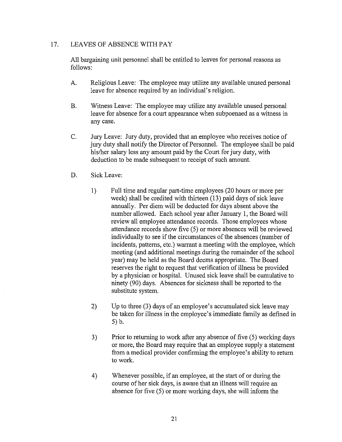## 17. LEAVES OF ABSENCE WITH PAY

All bargaining unit personnel shall be entitled to leaves for personal reasons as follows:

- A. Religious Leave: The employee may utilize any available unused personal leave for absence required by an individual's religion.
- B. Witness Leave: The employee may utilize any available unused personal leave for absence for a court appearance when subpoenaed as a witness in any case.
- C. Jury Leave: Jury duty, provided that an employee who receives notice of jury duty shall notify the Director of Personnel. The employee shall be paid his/her salary less any amount paid by the Court for jury duty, with deduction to be made subsequent to receipt of such amount.
- D. Sick Leave:
	- 1) Full time and regular part-time employees (20 hours or more per week) shall be credited with thirteen (13) paid days of sick leave armually. Per diem will be deducted for days absent above the number allowed. Each school year after January 1, the Board will review all employee attendance records. Those employees whose attendance records show five (5) or more absences will be reviewed individually to see if the circumstances of the absences (number of incidents, patterns, etc.) warrant a meeting with the employee, which meeting (and additional meetings during the remainder of the school year) may be held as the Board deems appropriate. The Board reserves the right to request that verification of illness be provided by a physician or hospital. Unused sick leave shall be cumulative to ninety (90) days. Absences for sickness shall be reported to the substitute system.
	- 2) Up to three (3) days of an employee's accumulated sick leave may be taken for illness in the employee's immediate family as defined in 5) b.
	- 3) Prior to returning to work after any absence of five (5) working days or more, the Board may require that an employee supply a statement from a medical provider confirming the employee's ability to return to work.
	- 4) Whenever possible, if an employee, at the start of or during the course of her sick days, is aware that an illness will require an absence for five (5) or more working days, she will inform the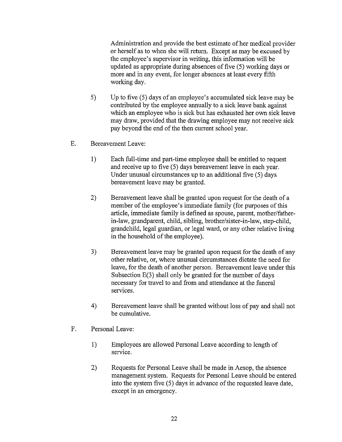Administration and provide the best estimate of her medical provider or herself as to when she will retum. Except as may be excused by the employee's supervisor in writing, this information will be updated as appropriate during absences of five (5) working days or more and in any event, for longer absences at least every fifth working day.

- 5) Up to five (5) days of an employee's accumulated sick leave may be contributed by the employee annually to a sick leave bank against which an employee who is sick but has exhausted her own sick leave may draw, provided that the drawing employee may not receive sick pay beyond the end of the then current school year.
- E. Bereavement Leave:
	- 1) Each full-time and part-time employee shall be entitled to request and receive up to five (5) days bereavement leave in each year. Under unusual circumstances up to an additional five (5) days bereavement leave may be granted.
	- 2) Bereavement leave shall be granted upon request for the death of a member of the employee's immediate family (for purposes of this article, immediate family is defined as spouse, parent, mother/fatherin-law, grandparent, child, sibling, brother/sister-in-law, step-child, grandchild, legal guardian, or legal ward, or any other relative living in the household of the employee).
	- 3) Bereavement leave may be granted upon request for the death of any other relative, or, where unusual circumstances dictate the need for leave, for the death of another person. Bereavement leave under this Subsection E(3) shall only be granted for the number of days necessary for travel to and from and attendance at the funeral services.
	- 4) Bereavement leave shall be granted without loss of pay and shall not be cumulative.
- F. Personal Leave:
	- 1) Employees are allowed Personal Leave according to length of service.
	- 2) Requests for Personal Leave shall be made in Aesop, the absence management system. Requests for Personal Leave should be entered into the system five (5) days in advance of the requested leave date, except in an emergency.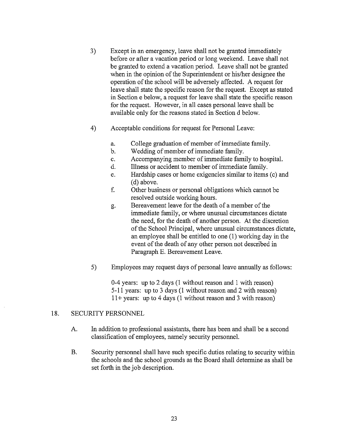- 3) Except in an emergency, leave shall not be granted immediately before or after a vacation period or long weekend. Leave shall not be granted to extend a vacation period. Leave shall not be granted when in the opinion of the Superintendent or his/her designee the operation of the school will be adversely affected. A request for leave shall state the specific reason for the request. Except as stated in Section e below, a request for leave shall state the specific reason for the request. However, in all cases personal leave shall be available only for the reasons stated in Section d below.
- 4) Acceptable conditions for request for Personal Leave:
	- a. College graduation of member of immediate family.
	- b. Wedding of member of immediate family.
	- c. Accompanying member of immediate family to hospital.
	- d. Illness or accident to member of immediate family.
	- e. Hardship cases or home exigencies similar to items (c) and (d) above.
	- f. Other business or personal obligations which cannot be resolved outside working hours.
	- g. Bereavement leave for the death of a member of the immediate family, or where unusual circumstances dictate the need, for the death of another person. At the discretion of the School Principal, where unusual circumstances dictate, an employee shall be entitled to one (1) working day in the event of the death of any other person not described in Paragraph E. Bereavement Leave.
- 5) Employees may request days of personal leave annually as follows:

0-4 years: up to 2 days (1 without reason and 1 with reason) 5-11 years: up to 3 days (1 without reason and 2 with reason)  $11 + \text{years: up to 4 days}$  (1 without reason and 3 with reason)

## 18. SECURITY PERSONNEL

- A. In addition to professional assistants, there has been and shall be a second classification of employees, namely security personnel.
- B. Security personnel shall have such specific duties relating to security within the schools and the school grounds as the Board shall determine as shall be set forth in the job description.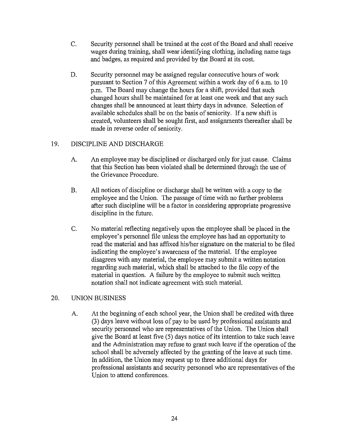- C. Security personnel shall be trained at the cost ofthe Board and shall receive wages during training, shall wear identifying clothing, including name tags and badges, as required and provided by the Board at its cost.
- D. Security personnel may be assigned regular consecutive hours of work pursuant to Section 7 of this Agreement within a work day of 6 a.m. to 10 p.m. The Board may change the hours for a shift, provided that such changed hours shall be maintained for at least one week and that any such changes shall be announced at least thirty days in advance. Selection of available schedules shall be on the basis of seniority. If a new shift is created, volunteers shall be sought first, and assignments thereafter shall be made in reverse order of seniority.

## 19. DISCIPLINE AND DISCHARGE

- A. An employee may be disciplined or discharged only for just cause. Claims that this Section has been violated shall be determined through the use of the Grievance Procedure.
- B. All notices of discipline or discharge shall be written with a copy to the employee and the Union. The passage of time with no further problems after such discipline will be a factor in considering appropriate progressive discipline in the future.
- C. No material reflecting negatively upon the employee shall be placed in the employee's personnel file unless the employee has had an opportunity to read the material and has affixed his/her signature on the material to be filed indicating the employee's awareness of the material. If the employee disagrees with any material, the employee may submit a written notation regarding such material, which shall be attached to the file copy of the material in question. A failure by the employee to submit such written notation shall not indicate agreement with such material.

## 20. UNION BUSINESS

A. At the beginning of each school year, the Union shall be credited with three (3) days leave without loss of pay to be used by professional assistants and security personnel who are representatives of the Union. The Union shall give the Board at least five (5) days notice of its intention to take such leave and the Administration may refuse to grant such leave if the operation of the school shall be adversely affected by the granting of the leave at such time. In addition, the Union may request up to three additional days for professional assistants and security personnel who are representatives of the Union to attend conferences.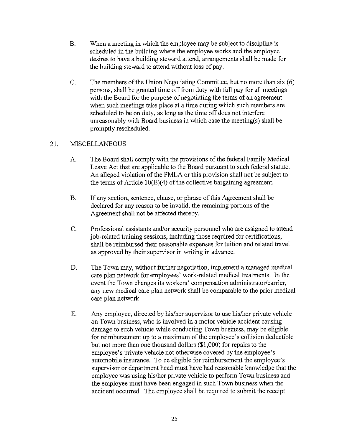- B. When a meeting in which the employee may be subject to discipline is scheduled in the building where the employee works and the employee desires to have a building steward attend, arrangements shall be made for the building steward to attend without loss of pay.
- C. The members of the Union Negotiating Committee, but no more than six (6) persons, shall be granted time off from duty with full pay for all meetings with the Board for the purpose of negotiating the terms of an agreement when such meetings take place at a time during which such members are scheduled to be on duty, as long as the time off does not interfere unreasonably with Board business in which case the meeting(s) shall be promptly rescheduled.

## 21. MISCELLANEOUS

- A. The Board shall comply with the provisions of the federal Family Medical Leave Act that are applicable to the Board pursuant to such federal statute. An alleged violation of the FMLA or this provision shall not be subject to the terms of Article 10(E)(4) of the collective bargaining agreement.
- B. If any section, sentence, clause, or phrase of this Agreement shall be declared for any reason to be invalid, the remaining portions of the Agreement shall not be affected thereby.
- C. Professional assistants and/or security personnel who are assigned to attend job-related training sessions, including those required for certifications, shall be reimbursed their reasonable expenses for tuition and related travel as approved by their supervisor in writing in advance.
- D. The Town may, without further negotiation, implement a managed medical care plan network for employees' work-related medical treatments. In the event the Town changes its workers' compensation administrator/carrier, any new medical care plan network shall be comparable to the prior medical care plan network.
- E. Any employee, directed by his/her supervisor to use his/her private vehicle on Town business, who is involved in a motor vehicle accident causing damage to such vehicle while conducting Town business, may be eligible for reimbursement up to a maximum of the employee's collision deductible but not more than one thousand dollars (\$1 ,000) for repairs to the employee's private vehicle not otherwise covered by the employee's automobile insurance. To be eligible for reimbursement the employee's supervisor or department head must have had reasonable knowledge that the employee was using his/her private vehicle to perform Town business and the employee must have been engaged in such Town business when the accident occurred. The employee shall be required to submit the receipt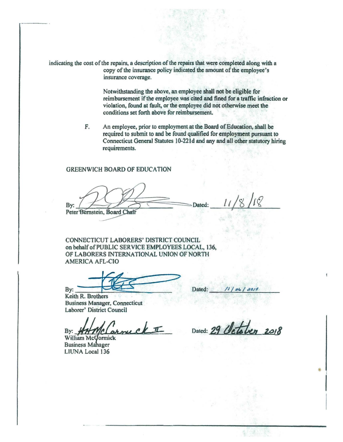indicating the cost of the repairs. a description of the repairs that were completed along with a copy of the insurance policy indicated the amount of the employee's insurance coverage.

> Notwithstanding the above, an employee shall not be eligible for reimbursement if the employee was cited and fined for a traffic infraction or violation, found at fault, or the employee did not otherwise meet the conditions set forth above for reimbursement.

F. An employee, prior to employment at the Board of Education, shall be required to submit to and be found qualified for employment pursuant to Connecticut General Statutes 10-221d and any and all other statutory hiring requirements.

#### GREENWICH BOARD OF EDUCATION

Bv: Peter Bernstein, Board Chafr

Dated:

CONNECTICUT LABORERS' DISTRICT COUNCIL on behalf of PUBLIC SERVICE EMPLOYEES LOCAL, 136, OF LABORERS INTERNATIONAL UNION OF NORTH AMERICA AFL-CIO

By:

Keith R. Brothers Business Manager, Connecticut

Laborer' District Council<br>By: **HHMC Connuck** 

**Business Mahager** UUNA Local 136

Dated:

Dated: 29 Octobe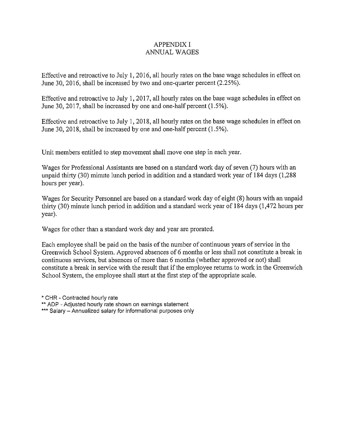## APPENDIX I ANNUAL WAGES

Effective and retroactive to July I, 2016, all hourly rates on the base wage schedules in effect on June 30, 2016, shall be increased by two and one-quarter percent (2.25%).

Effective and retroactive to July I, 2017, all hourly rates on the base wage schedules in effect on June 30, 2017, shall be increased by one and one-half percent (1.5%).

Effective and retroactive to July I, 2018, all hourly rates on the base wage schedules in effect on June 30, 2018, shall be increased by one and one-half percent (1.5% ).

Unit members entitled to step movement shall move one step in each year.

Wages for Professional Assistants are based on a standard work day of seven (7) hours with an unpaid thirty (30) minute lunch period in addition and a standard work year of 184 days (1,288 hours per year).

Wages for Security Personnel are based on a standard work day of eight (8) hours with an unpaid thirty (30) minute lunch period in addition and a standard work year of 184 days (1,472 hours per year).

Wages for other than a standard work day and year are prorated.

Each employee shall be paid on the basis of the number of continuous years of service in the Greenwich School System. Approved absences of 6 months or less shall not constitute a break in continuous services, but absences of more than 6 months (whether approved or not) shall constitute a break in service with the result that if the employee returns to work in the Greenwich School System, the employee shall start at the first step of the appropriate scale.

• CHR -Contracted hourly rate

\*\* ADP - Adjusted hourly rate shown on earnings statement

\*\*\* Salary - Annualized salary for informational purposes only